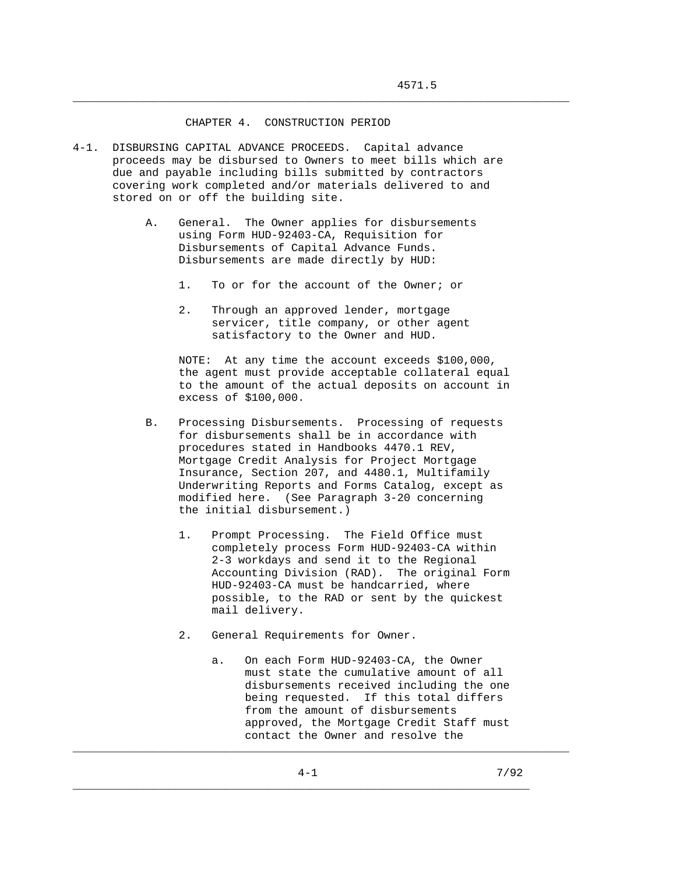## CHAPTER 4. CONSTRUCTION PERIOD

- 4-1. DISBURSING CAPITAL ADVANCE PROCEEDS. Capital advance proceeds may be disbursed to Owners to meet bills which are due and payable including bills submitted by contractors covering work completed and/or materials delivered to and stored on or off the building site.
	- A. General. The Owner applies for disbursements using Form HUD-92403-CA, Requisition for Disbursements of Capital Advance Funds. Disbursements are made directly by HUD:
		- 1. To or for the account of the Owner; or

\_\_\_\_\_\_\_\_\_\_\_\_\_\_\_\_\_\_\_\_\_\_\_\_\_\_\_\_\_\_\_\_\_\_\_\_\_\_\_\_\_\_\_\_\_\_\_\_\_\_\_\_\_\_\_\_\_\_\_\_\_\_\_\_\_\_\_\_\_\_\_\_\_\_\_

 2. Through an approved lender, mortgage servicer, title company, or other agent satisfactory to the Owner and HUD.

 NOTE: At any time the account exceeds \$100,000, the agent must provide acceptable collateral equal to the amount of the actual deposits on account in excess of \$100,000.

- B. Processing Disbursements. Processing of requests for disbursements shall be in accordance with procedures stated in Handbooks 4470.1 REV, Mortgage Credit Analysis for Project Mortgage Insurance, Section 207, and 4480.1, Multifamily Underwriting Reports and Forms Catalog, except as modified here. (See Paragraph 3-20 concerning the initial disbursement.)
	- 1. Prompt Processing. The Field Office must completely process Form HUD-92403-CA within 2-3 workdays and send it to the Regional Accounting Division (RAD). The original Form HUD-92403-CA must be handcarried, where possible, to the RAD or sent by the quickest mail delivery.
	- 2. General Requirements for Owner.
		- a. On each Form HUD-92403-CA, the Owner must state the cumulative amount of all disbursements received including the one being requested. If this total differs from the amount of disbursements approved, the Mortgage Credit Staff must contact the Owner and resolve the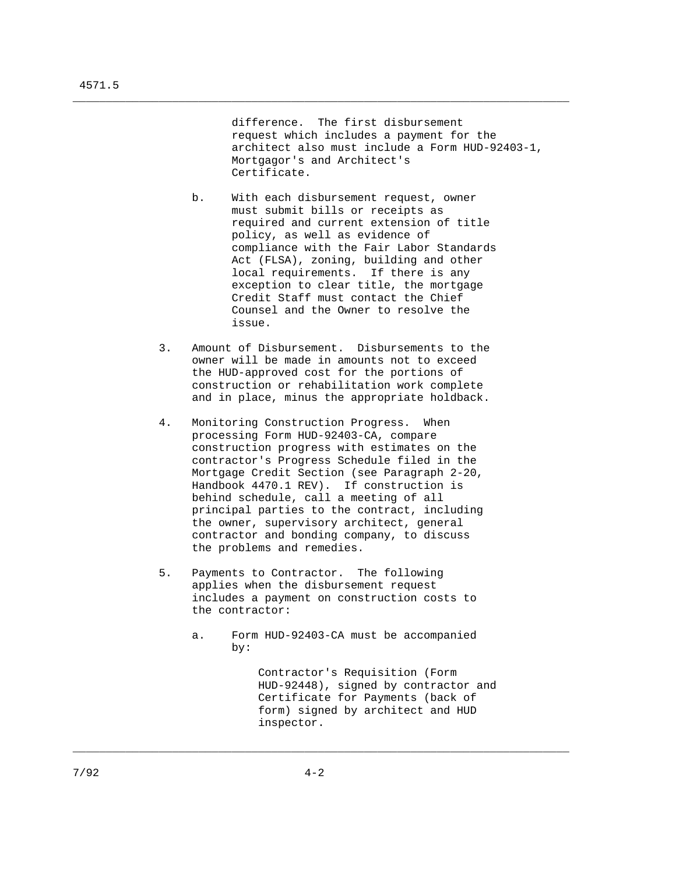difference. The first disbursement request which includes a payment for the architect also must include a Form HUD-92403-1, Mortgagor's and Architect's Certificate.

 b. With each disbursement request, owner must submit bills or receipts as required and current extension of title policy, as well as evidence of compliance with the Fair Labor Standards Act (FLSA), zoning, building and other local requirements. If there is any exception to clear title, the mortgage Credit Staff must contact the Chief Counsel and the Owner to resolve the issue.

\_\_\_\_\_\_\_\_\_\_\_\_\_\_\_\_\_\_\_\_\_\_\_\_\_\_\_\_\_\_\_\_\_\_\_\_\_\_\_\_\_\_\_\_\_\_\_\_\_\_\_\_\_\_\_\_\_\_\_\_\_\_\_\_\_\_\_\_\_\_\_\_\_\_\_

- 3. Amount of Disbursement. Disbursements to the owner will be made in amounts not to exceed the HUD-approved cost for the portions of construction or rehabilitation work complete and in place, minus the appropriate holdback.
- 4. Monitoring Construction Progress. When processing Form HUD-92403-CA, compare construction progress with estimates on the contractor's Progress Schedule filed in the Mortgage Credit Section (see Paragraph 2-20, Handbook 4470.1 REV). If construction is behind schedule, call a meeting of all principal parties to the contract, including the owner, supervisory architect, general contractor and bonding company, to discuss the problems and remedies.
- 5. Payments to Contractor. The following applies when the disbursement request includes a payment on construction costs to the contractor:
	- a. Form HUD-92403-CA must be accompanied by:

 Contractor's Requisition (Form HUD-92448), signed by contractor and Certificate for Payments (back of form) signed by architect and HUD inspector.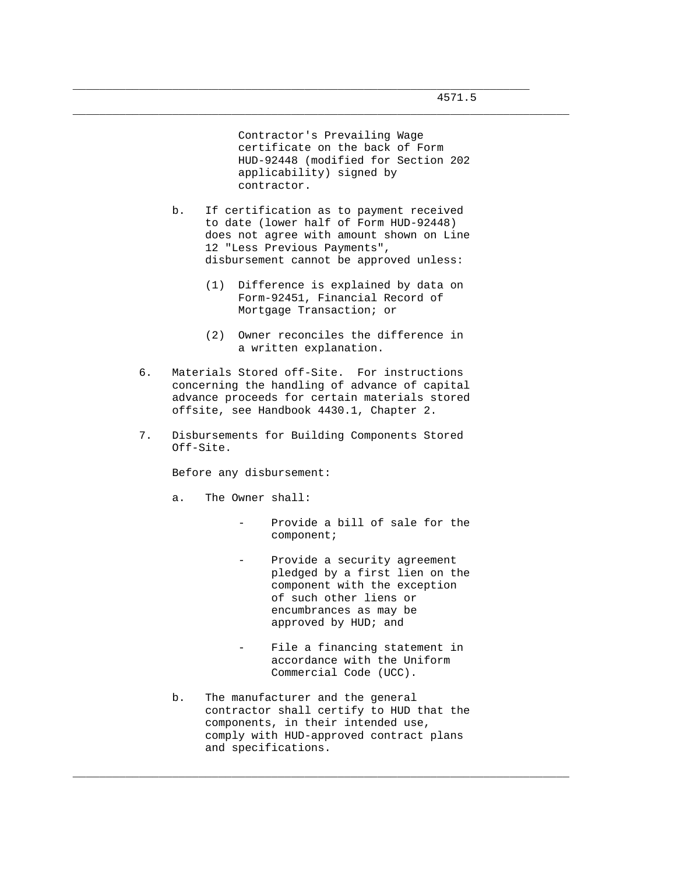Contractor's Prevailing Wage certificate on the back of Form HUD-92448 (modified for Section 202 applicability) signed by contractor.

 b. If certification as to payment received to date (lower half of Form HUD-92448) does not agree with amount shown on Line 12 "Less Previous Payments", disbursement cannot be approved unless:

\_\_\_\_\_\_\_\_\_\_\_\_\_\_\_\_\_\_\_\_\_\_\_\_\_\_\_\_\_\_\_\_\_\_\_\_\_\_\_\_\_\_\_\_\_\_\_\_\_\_\_\_\_\_\_\_\_\_\_\_\_\_\_\_\_\_\_\_\_

\_\_\_\_\_\_\_\_\_\_\_\_\_\_\_\_\_\_\_\_\_\_\_\_\_\_\_\_\_\_\_\_\_\_\_\_\_\_\_\_\_\_\_\_\_\_\_\_\_\_\_\_\_\_\_\_\_\_\_\_\_\_\_\_\_\_\_\_\_\_\_\_\_\_\_

- (1) Difference is explained by data on Form-92451, Financial Record of Mortgage Transaction; or
- (2) Owner reconciles the difference in a written explanation.
- 6. Materials Stored off-Site. For instructions concerning the handling of advance of capital advance proceeds for certain materials stored offsite, see Handbook 4430.1, Chapter 2.
- 7. Disbursements for Building Components Stored Off-Site.

Before any disbursement:

- a. The Owner shall:
	- Provide a bill of sale for the component;
	- Provide a security agreement pledged by a first lien on the component with the exception of such other liens or encumbrances as may be approved by HUD; and
	- File a financing statement in accordance with the Uniform Commercial Code (UCC).
- b. The manufacturer and the general contractor shall certify to HUD that the components, in their intended use, comply with HUD-approved contract plans and specifications.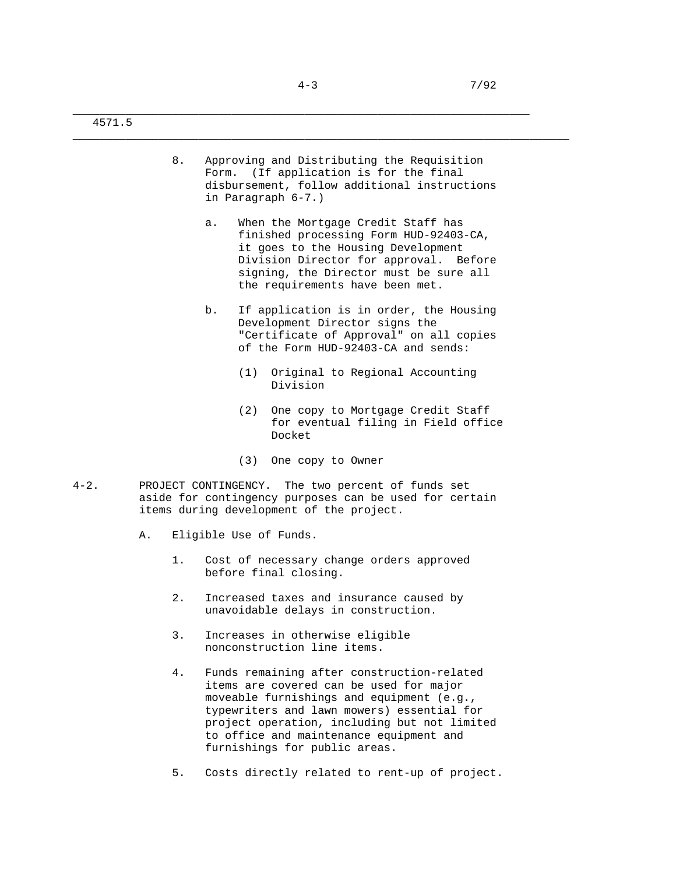4571.5

| Approving and Distributing the Requisition   |
|----------------------------------------------|
| Form. (If application is for the final       |
| disbursement, follow additional instructions |
| in Paragraph 6-7.)                           |

- a. When the Mortgage Credit Staff has finished processing Form HUD-92403-CA, it goes to the Housing Development Division Director for approval. Before signing, the Director must be sure all the requirements have been met.
- b. If application is in order, the Housing Development Director signs the "Certificate of Approval" on all copies of the Form HUD-92403-CA and sends:
	- (1) Original to Regional Accounting Division
	- (2) One copy to Mortgage Credit Staff for eventual filing in Field office Docket
	- (3) One copy to Owner
- 4-2. PROJECT CONTINGENCY. The two percent of funds set aside for contingency purposes can be used for certain items during development of the project.
	- A. Eligible Use of Funds.
		- 1. Cost of necessary change orders approved before final closing.
		- 2. Increased taxes and insurance caused by unavoidable delays in construction.
		- 3. Increases in otherwise eligible nonconstruction line items.
		- 4. Funds remaining after construction-related items are covered can be used for major moveable furnishings and equipment (e.g., typewriters and lawn mowers) essential for project operation, including but not limited to office and maintenance equipment and furnishings for public areas.
		- 5. Costs directly related to rent-up of project.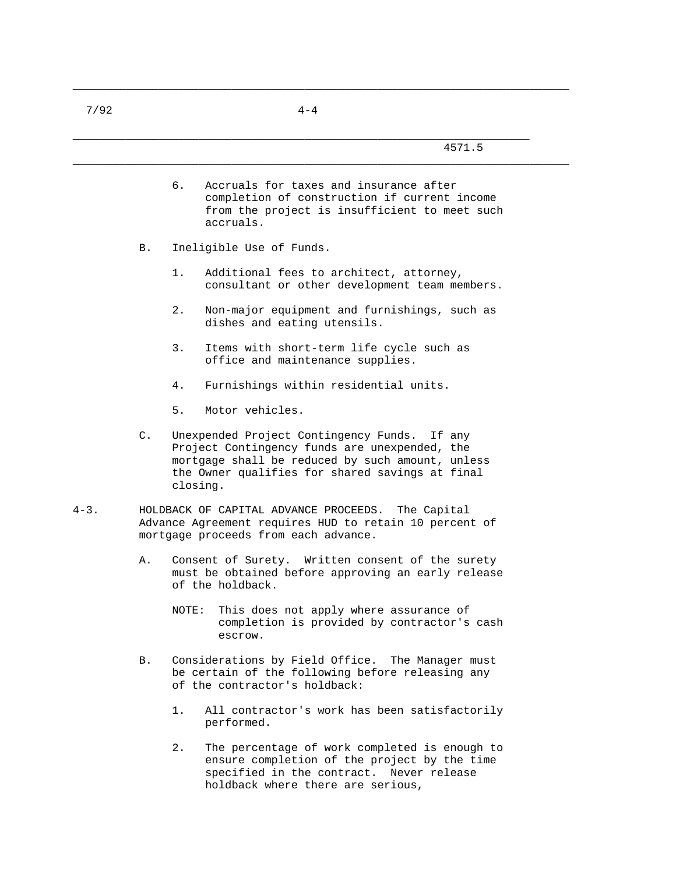|           |    | 4571.5                                                                                                                                                                                                           |
|-----------|----|------------------------------------------------------------------------------------------------------------------------------------------------------------------------------------------------------------------|
|           |    | б.<br>Accruals for taxes and insurance after<br>completion of construction if current income<br>from the project is insufficient to meet such<br>accruals.                                                       |
|           | В. | Ineligible Use of Funds.                                                                                                                                                                                         |
|           |    | 1.<br>Additional fees to architect, attorney,<br>consultant or other development team members.                                                                                                                   |
|           |    | 2.<br>Non-major equipment and furnishings, such as<br>dishes and eating utensils.                                                                                                                                |
|           |    | 3.<br>Items with short-term life cycle such as<br>office and maintenance supplies.                                                                                                                               |
|           |    | 4.<br>Furnishings within residential units.                                                                                                                                                                      |
|           |    | Motor vehicles.<br>5.                                                                                                                                                                                            |
|           | C. | Unexpended Project Contingency Funds. If any<br>Project Contingency funds are unexpended, the<br>mortgage shall be reduced by such amount, unless<br>the Owner qualifies for shared savings at final<br>closing. |
| $4 - 3$ . |    | HOLDBACK OF CAPITAL ADVANCE PROCEEDS.<br>The Capital<br>Advance Agreement requires HUD to retain 10 percent of<br>mortgage proceeds from each advance.                                                           |
|           | Α. | Consent of Surety. Written consent of the surety<br>must be obtained before approving an early release<br>of the holdback.                                                                                       |
|           |    | This does not apply where assurance of<br>NOTE:<br>completion is provided by contractor's cash<br>escrow.                                                                                                        |
|           | В. | Considerations by Field Office. The Manager must<br>be certain of the following before releasing any<br>of the contractor's holdback:                                                                            |
|           |    | All contractor's work has been satisfactorily<br>1.<br>performed.                                                                                                                                                |
|           |    | $2$ .<br>The percentage of work completed is enough to<br>ensure completion of the project by the time                                                                                                           |

specified in the contract. Never release

holdback where there are serious,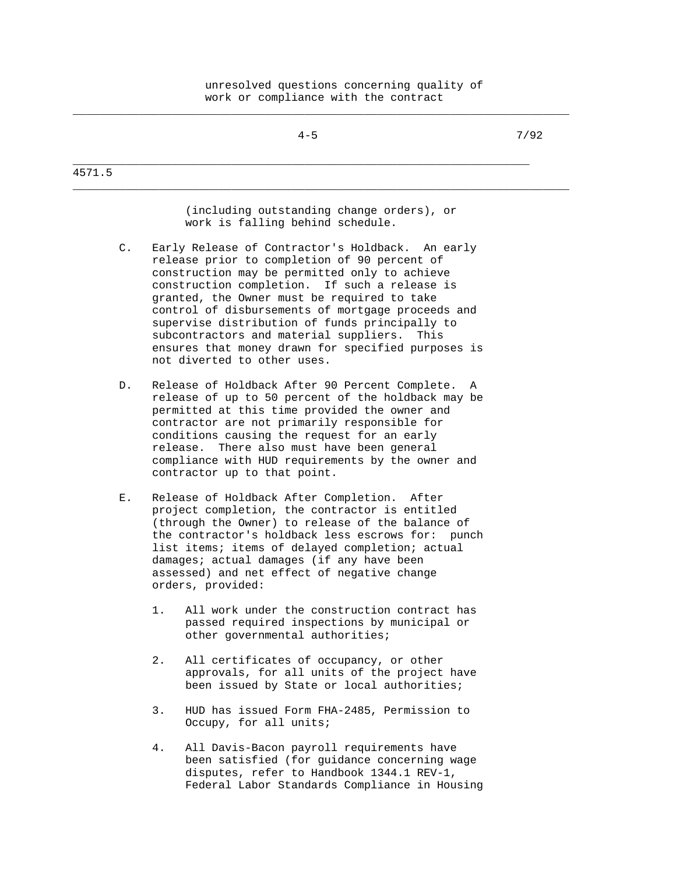|                | $4 - 5$                                                                                                                                                                                                                                                                                                                                                                                                                                                                                            | 7/92 |
|----------------|----------------------------------------------------------------------------------------------------------------------------------------------------------------------------------------------------------------------------------------------------------------------------------------------------------------------------------------------------------------------------------------------------------------------------------------------------------------------------------------------------|------|
| 4571.5         |                                                                                                                                                                                                                                                                                                                                                                                                                                                                                                    |      |
|                | (including outstanding change orders), or<br>work is falling behind schedule.                                                                                                                                                                                                                                                                                                                                                                                                                      |      |
| $\mathsf{C}$ . | Early Release of Contractor's Holdback.<br>An early<br>release prior to completion of 90 percent of<br>construction may be permitted only to achieve<br>construction completion. If such a release is<br>granted, the Owner must be required to take<br>control of disbursements of mortgage proceeds and<br>supervise distribution of funds principally to<br>subcontractors and material suppliers.<br>This<br>ensures that money drawn for specified purposes is<br>not diverted to other uses. |      |
| D.             | Release of Holdback After 90 Percent Complete. A<br>release of up to 50 percent of the holdback may be<br>permitted at this time provided the owner and<br>contractor are not primarily responsible for<br>conditions causing the request for an early<br>release. There also must have been general<br>compliance with HUD requirements by the owner and<br>contractor up to that point.                                                                                                          |      |
| Е.             | Release of Holdback After Completion.<br>After<br>project completion, the contractor is entitled<br>(through the Owner) to release of the balance of<br>the contractor's holdback less escrows for:<br>punch<br>list items; items of delayed completion; actual<br>damages; actual damages (if any have been<br>assessed) and net effect of negative change<br>orders, provided:                                                                                                                   |      |
|                | $1$ .<br>All work under the construction contract has<br>passed required inspections by municipal or<br>other governmental authorities;                                                                                                                                                                                                                                                                                                                                                            |      |
|                | 2.<br>All certificates of occupancy, or other<br>approvals, for all units of the project have<br>been issued by State or local authorities;                                                                                                                                                                                                                                                                                                                                                        |      |

- 3. HUD has issued Form FHA-2485, Permission to Occupy, for all units;
- 4. All Davis-Bacon payroll requirements have been satisfied (for guidance concerning wage disputes, refer to Handbook 1344.1 REV-1, Federal Labor Standards Compliance in Housing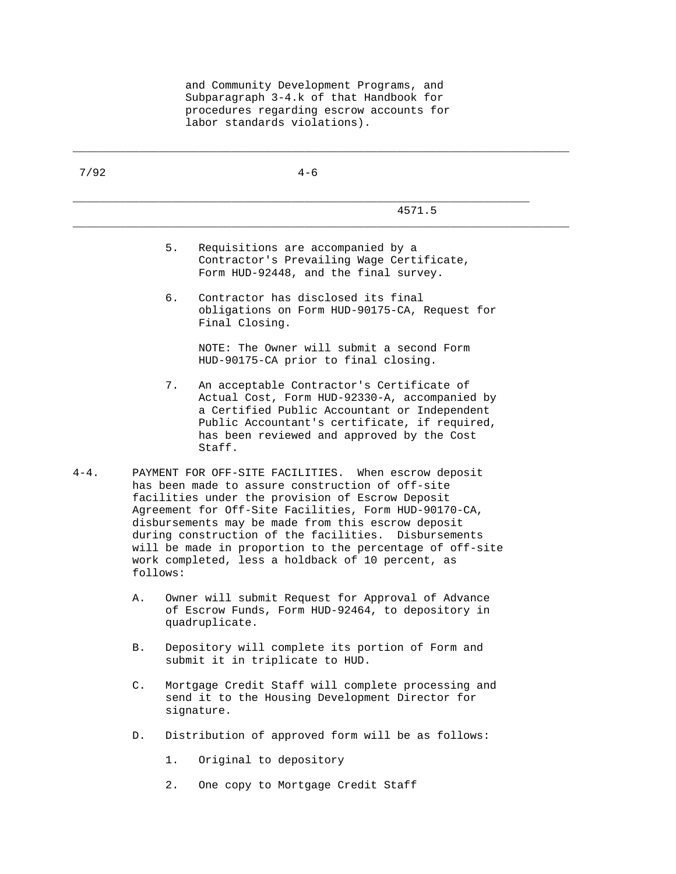and Community Development Programs, and Subparagraph 3-4.k of that Handbook for procedures regarding escrow accounts for labor standards violations).

| 7/92      |                | $4 - 6$                                                                                                                                                                                                                                                                                                                                                                                                                                              |
|-----------|----------------|------------------------------------------------------------------------------------------------------------------------------------------------------------------------------------------------------------------------------------------------------------------------------------------------------------------------------------------------------------------------------------------------------------------------------------------------------|
|           |                | 4571.5                                                                                                                                                                                                                                                                                                                                                                                                                                               |
|           |                | 5.<br>Requisitions are accompanied by a<br>Contractor's Prevailing Wage Certificate,<br>Form HUD-92448, and the final survey.                                                                                                                                                                                                                                                                                                                        |
|           |                | б.<br>Contractor has disclosed its final<br>obligations on Form HUD-90175-CA, Request for<br>Final Closing.                                                                                                                                                                                                                                                                                                                                          |
|           |                | NOTE: The Owner will submit a second Form<br>HUD-90175-CA prior to final closing.                                                                                                                                                                                                                                                                                                                                                                    |
|           |                | 7.<br>An acceptable Contractor's Certificate of<br>Actual Cost, Form HUD-92330-A, accompanied by<br>a Certified Public Accountant or Independent<br>Public Accountant's certificate, if required,<br>has been reviewed and approved by the Cost<br>Staff.                                                                                                                                                                                            |
| $4 - 4$ . | follows:       | PAYMENT FOR OFF-SITE FACILITIES. When escrow deposit<br>has been made to assure construction of off-site<br>facilities under the provision of Escrow Deposit<br>Agreement for Off-Site Facilities, Form HUD-90170-CA,<br>disbursements may be made from this escrow deposit<br>during construction of the facilities. Disbursements<br>will be made in proportion to the percentage of off-site<br>work completed, less a holdback of 10 percent, as |
|           | Α.             | Owner will submit Request for Approval of Advance<br>of Escrow Funds, Form HUD-92464, to depository in<br>quadruplicate.                                                                                                                                                                                                                                                                                                                             |
|           | В.             | Depository will complete its portion of Form and<br>submit it in triplicate to HUD.                                                                                                                                                                                                                                                                                                                                                                  |
|           | $\mathsf{C}$ . | Mortgage Credit Staff will complete processing and<br>send it to the Housing Development Director for<br>signature.                                                                                                                                                                                                                                                                                                                                  |
|           | D.             | Distribution of approved form will be as follows:                                                                                                                                                                                                                                                                                                                                                                                                    |
|           |                | Original to depository<br>1.                                                                                                                                                                                                                                                                                                                                                                                                                         |
|           |                | $2$ .<br>One copy to Mortgage Credit Staff                                                                                                                                                                                                                                                                                                                                                                                                           |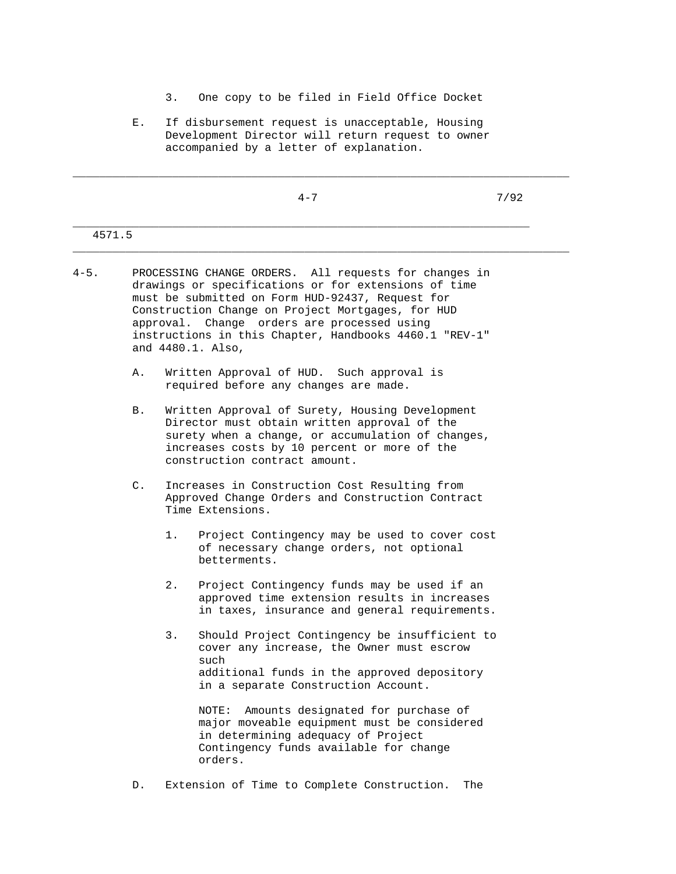- 3. One copy to be filed in Field Office Docket
- E. If disbursement request is unacceptable, Housing Development Director will return request to owner accompanied by a letter of explanation.

| $4 - 7$ | 7/92 |
|---------|------|
|         |      |
|         |      |
|         |      |

4-5. PROCESSING CHANGE ORDERS. All requests for changes in drawings or specifications or for extensions of time must be submitted on Form HUD-92437, Request for Construction Change on Project Mortgages, for HUD approval. Change orders are processed using instructions in this Chapter, Handbooks 4460.1 "REV-1" and 4480.1. Also,

4571.5

- A. Written Approval of HUD. Such approval is required before any changes are made.
- B. Written Approval of Surety, Housing Development Director must obtain written approval of the surety when a change, or accumulation of changes, increases costs by 10 percent or more of the construction contract amount.
- C. Increases in Construction Cost Resulting from Approved Change Orders and Construction Contract Time Extensions.
	- 1. Project Contingency may be used to cover cost of necessary change orders, not optional betterments.
	- 2. Project Contingency funds may be used if an approved time extension results in increases in taxes, insurance and general requirements.
	- 3. Should Project Contingency be insufficient to cover any increase, the Owner must escrow such additional funds in the approved depository in a separate Construction Account.

 NOTE: Amounts designated for purchase of major moveable equipment must be considered in determining adequacy of Project Contingency funds available for change orders.

D. Extension of Time to Complete Construction. The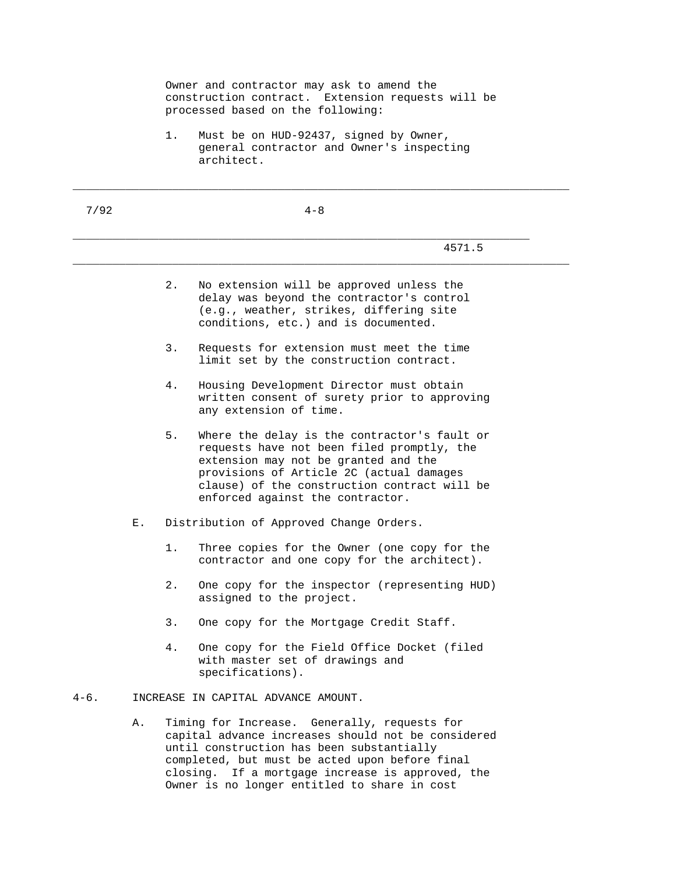|           |    | Owner and contractor may ask to amend the<br>construction contract. Extension requests will be<br>processed based on the following: |                                                                                                                                                                                                                                                                                                       |
|-----------|----|-------------------------------------------------------------------------------------------------------------------------------------|-------------------------------------------------------------------------------------------------------------------------------------------------------------------------------------------------------------------------------------------------------------------------------------------------------|
|           |    | $1$ .                                                                                                                               | Must be on HUD-92437, signed by Owner,<br>general contractor and Owner's inspecting<br>architect.                                                                                                                                                                                                     |
| 7/92      |    |                                                                                                                                     | $4 - 8$                                                                                                                                                                                                                                                                                               |
|           |    |                                                                                                                                     | 4571.5                                                                                                                                                                                                                                                                                                |
|           |    | 2.                                                                                                                                  | No extension will be approved unless the<br>delay was beyond the contractor's control<br>(e.g., weather, strikes, differing site<br>conditions, etc.) and is documented.                                                                                                                              |
|           |    | 3.                                                                                                                                  | Requests for extension must meet the time<br>limit set by the construction contract.                                                                                                                                                                                                                  |
|           |    | 4.                                                                                                                                  | Housing Development Director must obtain<br>written consent of surety prior to approving<br>any extension of time.                                                                                                                                                                                    |
|           |    | 5.                                                                                                                                  | Where the delay is the contractor's fault or<br>requests have not been filed promptly, the<br>extension may not be granted and the<br>provisions of Article 2C (actual damages<br>clause) of the construction contract will be<br>enforced against the contractor.                                    |
|           | Е. |                                                                                                                                     | Distribution of Approved Change Orders.                                                                                                                                                                                                                                                               |
|           |    | 1.                                                                                                                                  | Three copies for the Owner (one copy for the<br>contractor and one copy for the architect).                                                                                                                                                                                                           |
|           |    | $2$ .                                                                                                                               | One copy for the inspector (representing HUD)<br>assigned to the project.                                                                                                                                                                                                                             |
|           |    | 3.                                                                                                                                  | One copy for the Mortgage Credit Staff.                                                                                                                                                                                                                                                               |
|           |    | 4.                                                                                                                                  | One copy for the Field Office Docket (filed<br>with master set of drawings and<br>specifications).                                                                                                                                                                                                    |
| $4 - 6$ . |    |                                                                                                                                     | INCREASE IN CAPITAL ADVANCE AMOUNT.                                                                                                                                                                                                                                                                   |
|           | Α. |                                                                                                                                     | Timing for Increase. Generally, requests for<br>capital advance increases should not be considered<br>until construction has been substantially<br>completed, but must be acted upon before final<br>closing. If a mortgage increase is approved, the<br>Owner is no longer entitled to share in cost |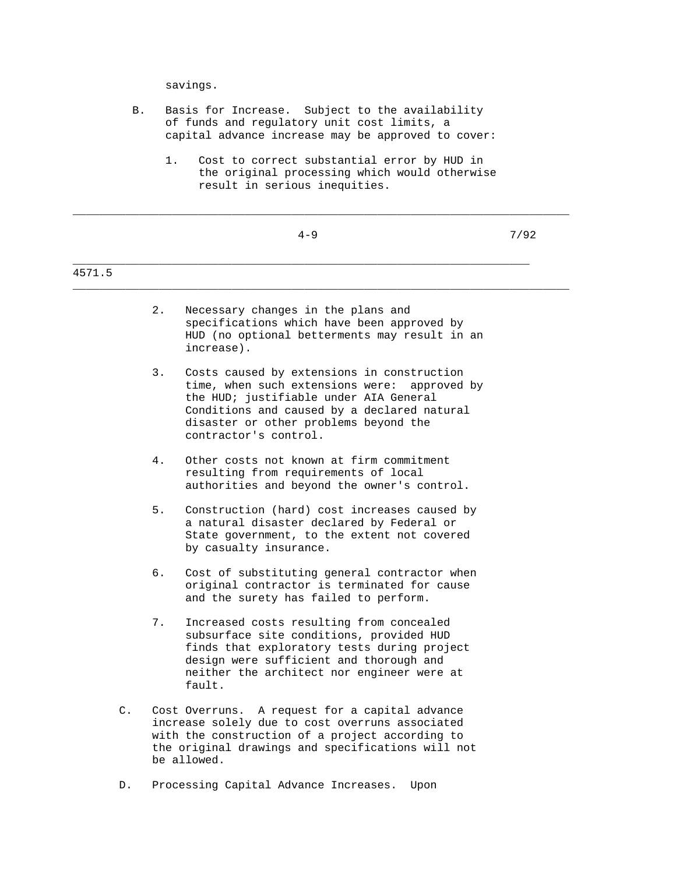savings.

- B. Basis for Increase. Subject to the availability of funds and regulatory unit cost limits, a capital advance increase may be approved to cover:
	- 1. Cost to correct substantial error by HUD in the original processing which would otherwise result in serious inequities.

\_\_\_\_\_\_\_\_\_\_\_\_\_\_\_\_\_\_\_\_\_\_\_\_\_\_\_\_\_\_\_\_\_\_\_\_\_\_\_\_\_\_\_\_\_\_\_\_\_\_\_\_\_\_\_\_\_\_\_\_\_\_\_\_\_\_\_\_\_\_\_\_\_\_\_

|                |    | $4 - 9$                                                                                                                                                                                                                                                  | 7/92 |
|----------------|----|----------------------------------------------------------------------------------------------------------------------------------------------------------------------------------------------------------------------------------------------------------|------|
| 4571.5         |    |                                                                                                                                                                                                                                                          |      |
|                | 2. | Necessary changes in the plans and<br>specifications which have been approved by<br>HUD (no optional betterments may result in an<br>increase).                                                                                                          |      |
|                | 3. | Costs caused by extensions in construction<br>time, when such extensions were:<br>approved by<br>the HUD; justifiable under AIA General<br>Conditions and caused by a declared natural<br>disaster or other problems beyond the<br>contractor's control. |      |
|                | 4. | Other costs not known at firm commitment<br>resulting from requirements of local<br>authorities and beyond the owner's control.                                                                                                                          |      |
|                | 5. | Construction (hard) cost increases caused by<br>a natural disaster declared by Federal or<br>State government, to the extent not covered<br>by casualty insurance.                                                                                       |      |
|                | 6. | Cost of substituting general contractor when<br>original contractor is terminated for cause<br>and the surety has failed to perform.                                                                                                                     |      |
|                | 7. | Increased costs resulting from concealed<br>subsurface site conditions, provided HUD<br>finds that exploratory tests during project<br>design were sufficient and thorough and<br>neither the architect nor engineer were at<br>fault.                   |      |
| $\mathsf{C}$ . |    | Cost Overruns. A request for a capital advance<br>increase solely due to cost overruns associated<br>with the construction of a project according to<br>the original drawings and specifications will not<br>be allowed.                                 |      |

D. Processing Capital Advance Increases. Upon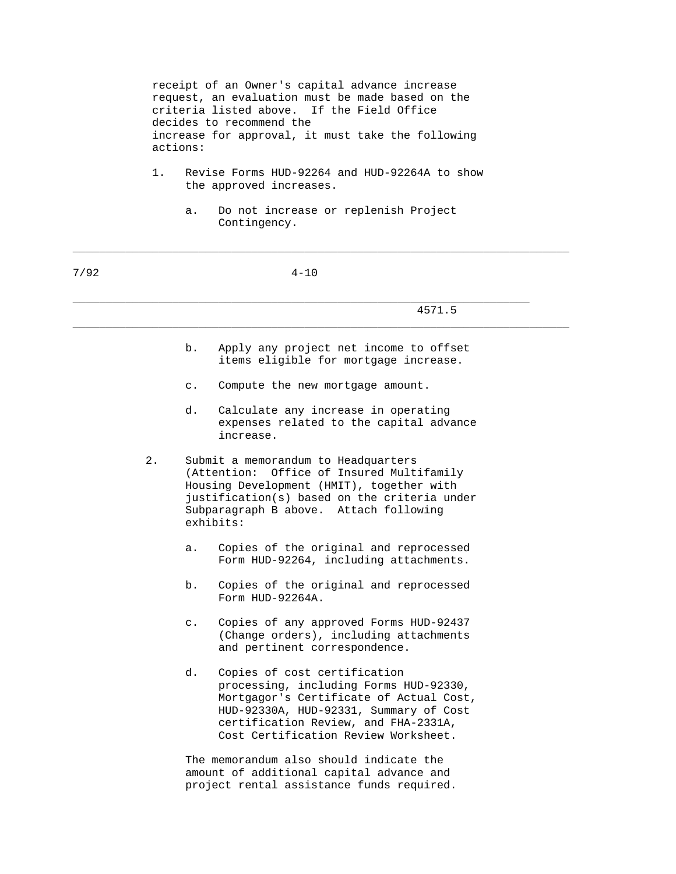receipt of an Owner's capital advance increase request, an evaluation must be made based on the criteria listed above. If the Field Office decides to recommend the increase for approval, it must take the following actions:

- 1. Revise Forms HUD-92264 and HUD-92264A to show the approved increases.
	- a. Do not increase or replenish Project Contingency.

\_\_\_\_\_\_\_\_\_\_\_\_\_\_\_\_\_\_\_\_\_\_\_\_\_\_\_\_\_\_\_\_\_\_\_\_\_\_\_\_\_\_\_\_\_\_\_\_\_\_\_\_\_\_\_\_\_\_\_\_\_\_\_\_\_\_\_\_\_\_\_\_\_\_\_

| 7/92 | $4 - 10$ |                                                                                                                                                                                                                                                   |  |
|------|----------|---------------------------------------------------------------------------------------------------------------------------------------------------------------------------------------------------------------------------------------------------|--|
|      |          | 4571.5                                                                                                                                                                                                                                            |  |
|      |          | b.<br>Apply any project net income to offset<br>items eligible for mortgage increase.                                                                                                                                                             |  |
|      |          | Compute the new mortgage amount.<br>$\mathsf{C}$ .                                                                                                                                                                                                |  |
|      |          | d.<br>Calculate any increase in operating<br>expenses related to the capital advance<br>increase.                                                                                                                                                 |  |
|      | 2.       | Submit a memorandum to Headquarters<br>Office of Insured Multifamily<br>(Attention:<br>Housing Development (HMIT), together with<br>justification(s) based on the criteria under<br>Subparagraph B above. Attach following<br>exhibits:           |  |
|      |          | Copies of the original and reprocessed<br>а.<br>Form HUD-92264, including attachments.                                                                                                                                                            |  |
|      |          | b.<br>Copies of the original and reprocessed<br>Form HUD-92264A.                                                                                                                                                                                  |  |
|      |          | Copies of any approved Forms HUD-92437<br>$\mathsf{C}$ .<br>(Change orders), including attachments<br>and pertinent correspondence.                                                                                                               |  |
|      |          | d.<br>Copies of cost certification<br>processing, including Forms HUD-92330,<br>Mortgagor's Certificate of Actual Cost,<br>HUD-92330A, HUD-92331, Summary of Cost<br>certification Review, and FHA-2331A,<br>Cost Certification Review Worksheet. |  |

 The memorandum also should indicate the amount of additional capital advance and project rental assistance funds required.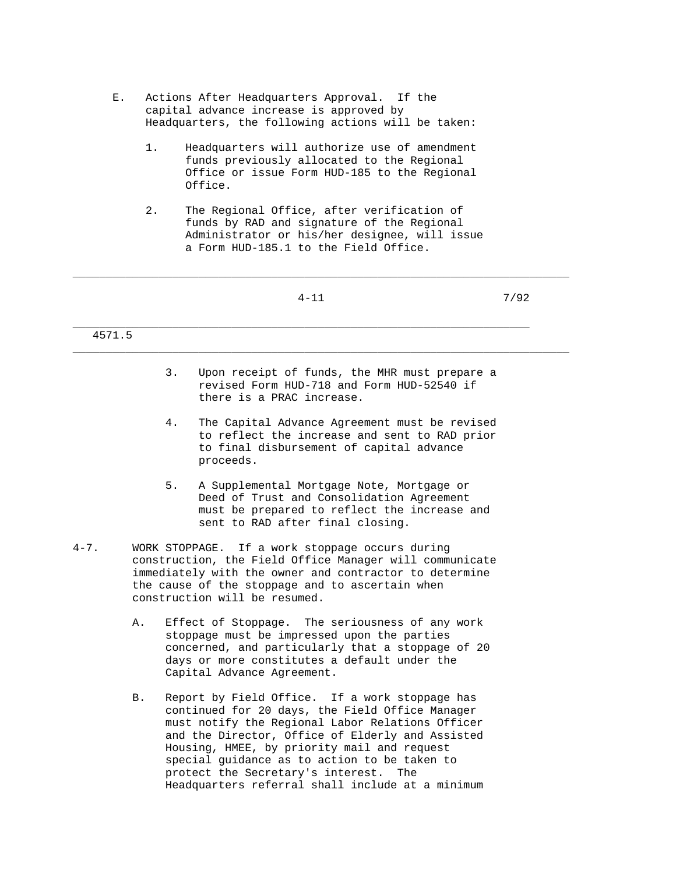- E. Actions After Headquarters Approval. If the capital advance increase is approved by Headquarters, the following actions will be taken:
	- 1. Headquarters will authorize use of amendment funds previously allocated to the Regional Office or issue Form HUD-185 to the Regional Office.
	- 2. The Regional Office, after verification of funds by RAD and signature of the Regional Administrator or his/her designee, will issue a Form HUD-185.1 to the Field Office.

|        |    | $4 - 11$                                                                                                                 | 7/92 |
|--------|----|--------------------------------------------------------------------------------------------------------------------------|------|
|        |    |                                                                                                                          |      |
| 4571.5 |    |                                                                                                                          |      |
|        |    |                                                                                                                          |      |
|        | 3. | Upon receipt of funds, the MHR must prepare a<br>revised Form HUD-718 and Form HUD-52540 if<br>there is a PRAC increase. |      |

- 4. The Capital Advance Agreement must be revised to reflect the increase and sent to RAD prior to final disbursement of capital advance proceeds.
- 5. A Supplemental Mortgage Note, Mortgage or Deed of Trust and Consolidation Agreement must be prepared to reflect the increase and sent to RAD after final closing.
- 4-7. WORK STOPPAGE. If a work stoppage occurs during construction, the Field Office Manager will communicate immediately with the owner and contractor to determine the cause of the stoppage and to ascertain when construction will be resumed.
	- A. Effect of Stoppage. The seriousness of any work stoppage must be impressed upon the parties concerned, and particularly that a stoppage of 20 days or more constitutes a default under the Capital Advance Agreement.
	- B. Report by Field Office. If a work stoppage has continued for 20 days, the Field Office Manager must notify the Regional Labor Relations Officer and the Director, Office of Elderly and Assisted Housing, HMEE, by priority mail and request special guidance as to action to be taken to protect the Secretary's interest. The Headquarters referral shall include at a minimum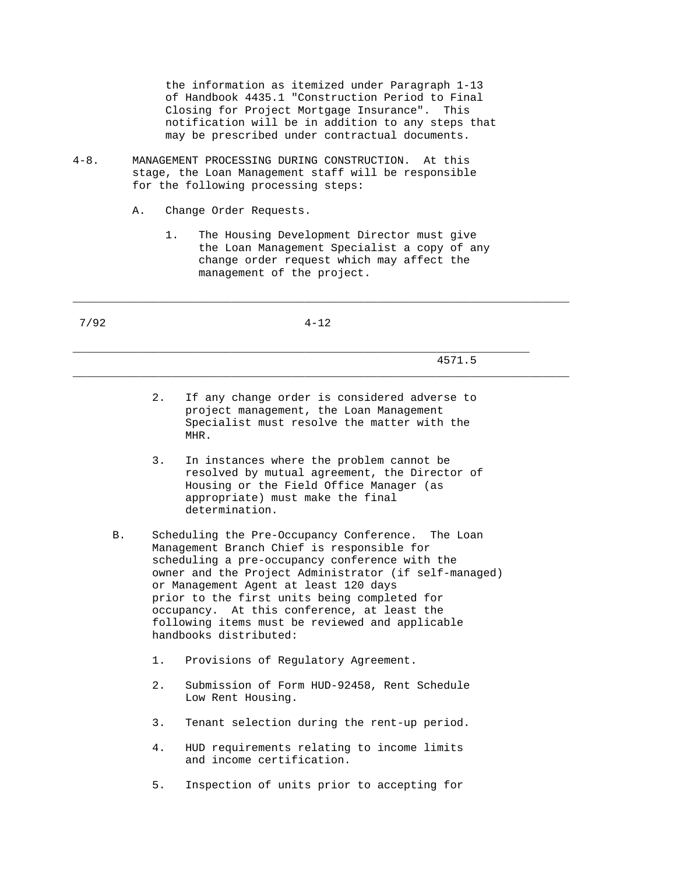the information as itemized under Paragraph 1-13 of Handbook 4435.1 "Construction Period to Final Closing for Project Mortgage Insurance". This notification will be in addition to any steps that may be prescribed under contractual documents.

- 4-8. MANAGEMENT PROCESSING DURING CONSTRUCTION. At this stage, the Loan Management staff will be responsible for the following processing steps:
	- A. Change Order Requests.
		- 1. The Housing Development Director must give the Loan Management Specialist a copy of any change order request which may affect the management of the project.

\_\_\_\_\_\_\_\_\_\_\_\_\_\_\_\_\_\_\_\_\_\_\_\_\_\_\_\_\_\_\_\_\_\_\_\_\_\_\_\_\_\_\_\_\_\_\_\_\_\_\_\_\_\_\_\_\_\_\_\_\_\_\_\_\_\_\_\_\_\_\_\_\_\_\_

\_\_\_\_\_\_\_\_\_\_\_\_\_\_\_\_\_\_\_\_\_\_\_\_\_\_\_\_\_\_\_\_\_\_\_\_\_\_\_\_\_\_\_\_\_\_\_\_\_\_\_\_\_\_\_\_\_\_\_\_\_\_\_\_\_\_\_\_\_\_\_\_\_\_\_

 7/92 4-12 \_\_\_\_\_\_\_\_\_\_\_\_\_\_\_\_\_\_\_\_\_\_\_\_\_\_\_\_\_\_\_\_\_\_\_\_\_\_\_\_\_\_\_\_\_\_\_\_\_\_\_\_\_\_\_\_\_\_\_\_\_\_\_\_\_\_\_\_\_ 4571.5

- 2. If any change order is considered adverse to project management, the Loan Management Specialist must resolve the matter with the MHR.
- 3. In instances where the problem cannot be resolved by mutual agreement, the Director of Housing or the Field Office Manager (as appropriate) must make the final determination.
- B. Scheduling the Pre-Occupancy Conference. The Loan Management Branch Chief is responsible for scheduling a pre-occupancy conference with the owner and the Project Administrator (if self-managed) or Management Agent at least 120 days prior to the first units being completed for occupancy. At this conference, at least the following items must be reviewed and applicable handbooks distributed:
	- 1. Provisions of Regulatory Agreement.
	- 2. Submission of Form HUD-92458, Rent Schedule Low Rent Housing.
	- 3. Tenant selection during the rent-up period.
	- 4. HUD requirements relating to income limits and income certification.
	- 5. Inspection of units prior to accepting for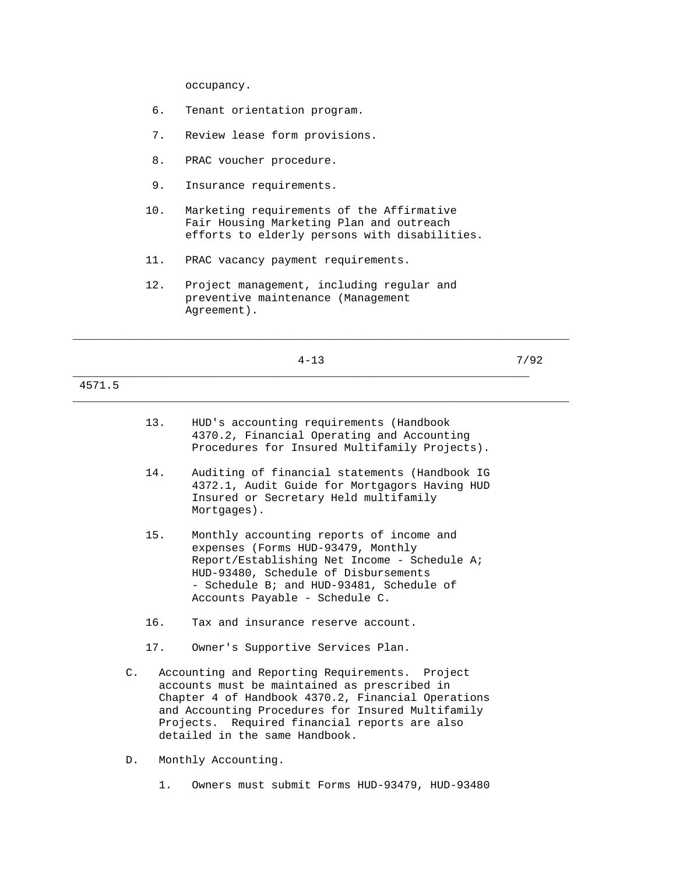occupancy.

- 6. Tenant orientation program.
- 7. Review lease form provisions.
- 8. PRAC voucher procedure.
- 9. Insurance requirements.
- 10. Marketing requirements of the Affirmative Fair Housing Marketing Plan and outreach efforts to elderly persons with disabilities.

- 11. PRAC vacancy payment requirements.
- 12. Project management, including regular and preventive maintenance (Management Agreement).

|                |     | $4 - 13$                                                                                                                                                                                                                                                                                     | 7/92 |
|----------------|-----|----------------------------------------------------------------------------------------------------------------------------------------------------------------------------------------------------------------------------------------------------------------------------------------------|------|
| 4571.5         |     |                                                                                                                                                                                                                                                                                              |      |
|                | 13. | HUD's accounting requirements (Handbook<br>4370.2, Financial Operating and Accounting<br>Procedures for Insured Multifamily Projects).                                                                                                                                                       |      |
|                | 14. | Auditing of financial statements (Handbook IG<br>4372.1, Audit Guide for Mortgagors Having HUD<br>Insured or Secretary Held multifamily<br>Mortgages).                                                                                                                                       |      |
|                | 15. | Monthly accounting reports of income and<br>expenses (Forms HUD-93479, Monthly<br>Report/Establishing Net Income - Schedule A;<br>HUD-93480, Schedule of Disbursements<br>- Schedule B; and HUD-93481, Schedule of<br>Accounts Payable - Schedule C.                                         |      |
|                | 16. | Tax and insurance reserve account.                                                                                                                                                                                                                                                           |      |
|                | 17. | Owner's Supportive Services Plan.                                                                                                                                                                                                                                                            |      |
| $\mathsf{C}$ . |     | Accounting and Reporting Requirements. Project<br>accounts must be maintained as prescribed in<br>Chapter 4 of Handbook 4370.2, Financial Operations<br>and Accounting Procedures for Insured Multifamily<br>Projects. Required financial reports are also<br>detailed in the same Handbook. |      |
| D.             |     | Monthly Accounting.                                                                                                                                                                                                                                                                          |      |
|                | 1.  | Owners must submit Forms HUD-93479, HUD-93480                                                                                                                                                                                                                                                |      |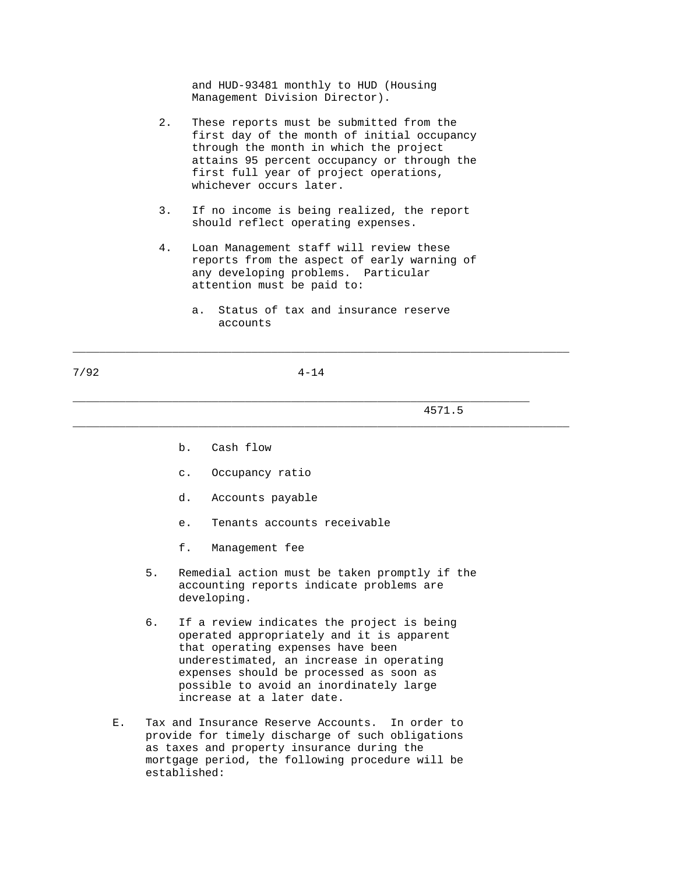and HUD-93481 monthly to HUD (Housing Management Division Director).

- 2. These reports must be submitted from the first day of the month of initial occupancy through the month in which the project attains 95 percent occupancy or through the first full year of project operations, whichever occurs later.
- 3. If no income is being realized, the report should reflect operating expenses.
- 4. Loan Management staff will review these reports from the aspect of early warning of any developing problems. Particular attention must be paid to:
	- a. Status of tax and insurance reserve accounts

\_\_\_\_\_\_\_\_\_\_\_\_\_\_\_\_\_\_\_\_\_\_\_\_\_\_\_\_\_\_\_\_\_\_\_\_\_\_\_\_\_\_\_\_\_\_\_\_\_\_\_\_\_\_\_\_\_\_\_\_\_\_\_\_\_\_\_\_\_\_\_\_\_\_\_

\_\_\_\_\_\_\_\_\_\_\_\_\_\_\_\_\_\_\_\_\_\_\_\_\_\_\_\_\_\_\_\_\_\_\_\_\_\_\_\_\_\_\_\_\_\_\_\_\_\_\_\_\_\_\_\_\_\_\_\_\_\_\_\_\_\_\_\_\_\_\_\_\_\_\_

\_\_\_\_\_\_\_\_\_\_\_\_\_\_\_\_\_\_\_\_\_\_\_\_\_\_\_\_\_\_\_\_\_\_\_\_\_\_\_\_\_\_\_\_\_\_\_\_\_\_\_\_\_\_\_\_\_\_\_\_\_\_\_\_\_\_\_\_\_

7/92 4-14

4571.5

- b. Cash flow
- c. Occupancy ratio
- d. Accounts payable
- e. Tenants accounts receivable
- f. Management fee
- 5. Remedial action must be taken promptly if the accounting reports indicate problems are developing.
- 6. If a review indicates the project is being operated appropriately and it is apparent that operating expenses have been underestimated, an increase in operating expenses should be processed as soon as possible to avoid an inordinately large increase at a later date.
- E. Tax and Insurance Reserve Accounts. In order to provide for timely discharge of such obligations as taxes and property insurance during the mortgage period, the following procedure will be established: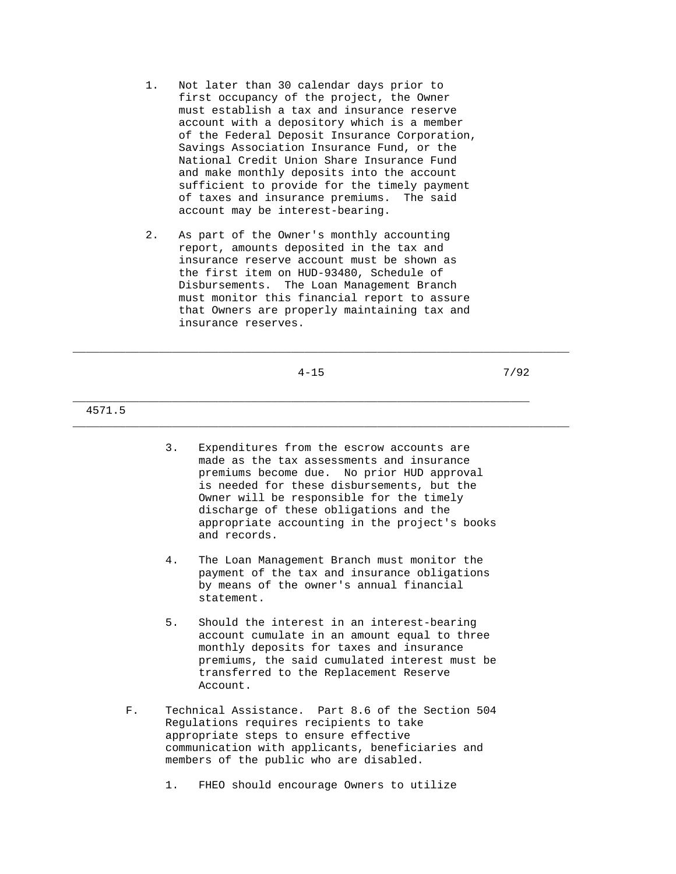- 1. Not later than 30 calendar days prior to first occupancy of the project, the Owner must establish a tax and insurance reserve account with a depository which is a member of the Federal Deposit Insurance Corporation, Savings Association Insurance Fund, or the National Credit Union Share Insurance Fund and make monthly deposits into the account sufficient to provide for the timely payment of taxes and insurance premiums. The said account may be interest-bearing.
- 2. As part of the Owner's monthly accounting report, amounts deposited in the tax and insurance reserve account must be shown as the first item on HUD-93480, Schedule of Disbursements. The Loan Management Branch must monitor this financial report to assure that Owners are properly maintaining tax and insurance reserves.

|  | . .<br>۰. |
|--|-----------|

\_\_\_\_\_\_\_\_\_\_\_\_\_\_\_\_\_\_\_\_\_\_\_\_\_\_\_\_\_\_\_\_\_\_\_\_\_\_\_\_\_\_\_\_\_\_\_\_\_\_\_\_\_\_\_\_\_\_\_\_\_\_\_\_\_\_\_\_\_\_\_\_\_\_\_

\_\_\_\_\_\_\_\_\_\_\_\_\_\_\_\_\_\_\_\_\_\_\_\_\_\_\_\_\_\_\_\_\_\_\_\_\_\_\_\_\_\_\_\_\_\_\_\_\_\_\_\_\_\_\_\_\_\_\_\_\_\_\_\_\_\_\_\_\_\_\_\_\_\_\_

4-15 7/92

## 4571.5

- 3. Expenditures from the escrow accounts are made as the tax assessments and insurance premiums become due. No prior HUD approval is needed for these disbursements, but the Owner will be responsible for the timely discharge of these obligations and the appropriate accounting in the project's books and records.
- 4. The Loan Management Branch must monitor the payment of the tax and insurance obligations by means of the owner's annual financial statement.
- 5. Should the interest in an interest-bearing account cumulate in an amount equal to three monthly deposits for taxes and insurance premiums, the said cumulated interest must be transferred to the Replacement Reserve Account.
- F. Technical Assistance. Part 8.6 of the Section 504 Regulations requires recipients to take appropriate steps to ensure effective communication with applicants, beneficiaries and members of the public who are disabled.

1. FHEO should encourage Owners to utilize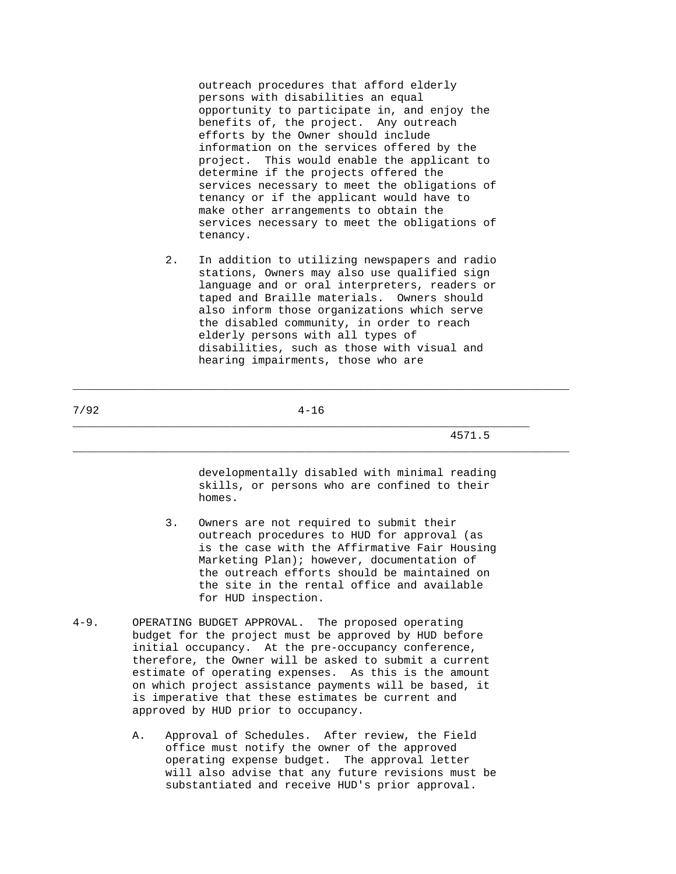outreach procedures that afford elderly persons with disabilities an equal opportunity to participate in, and enjoy the benefits of, the project. Any outreach efforts by the Owner should include information on the services offered by the project. This would enable the applicant to determine if the projects offered the services necessary to meet the obligations of tenancy or if the applicant would have to make other arrangements to obtain the services necessary to meet the obligations of tenancy.

 2. In addition to utilizing newspapers and radio stations, Owners may also use qualified sign language and or oral interpreters, readers or taped and Braille materials. Owners should also inform those organizations which serve the disabled community, in order to reach elderly persons with all types of disabilities, such as those with visual and hearing impairments, those who are

\_\_\_\_\_\_\_\_\_\_\_\_\_\_\_\_\_\_\_\_\_\_\_\_\_\_\_\_\_\_\_\_\_\_\_\_\_\_\_\_\_\_\_\_\_\_\_\_\_\_\_\_\_\_\_\_\_\_\_\_\_\_\_\_\_\_\_\_\_

\_\_\_\_\_\_\_\_\_\_\_\_\_\_\_\_\_\_\_\_\_\_\_\_\_\_\_\_\_\_\_\_\_\_\_\_\_\_\_\_\_\_\_\_\_\_\_\_\_\_\_\_\_\_\_\_\_\_\_\_\_\_\_\_\_\_\_\_\_\_\_\_\_\_\_

\_\_\_\_\_\_\_\_\_\_\_\_\_\_\_\_\_\_\_\_\_\_\_\_\_\_\_\_\_\_\_\_\_\_\_\_\_\_\_\_\_\_\_\_\_\_\_\_\_\_\_\_\_\_\_\_\_\_\_\_\_\_\_\_\_\_\_\_\_\_\_\_\_\_\_

4571.5

 developmentally disabled with minimal reading skills, or persons who are confined to their homes.

- 3. Owners are not required to submit their outreach procedures to HUD for approval (as is the case with the Affirmative Fair Housing Marketing Plan); however, documentation of the outreach efforts should be maintained on the site in the rental office and available for HUD inspection.
- 4-9. OPERATING BUDGET APPROVAL. The proposed operating budget for the project must be approved by HUD before initial occupancy. At the pre-occupancy conference, therefore, the Owner will be asked to submit a current estimate of operating expenses. As this is the amount on which project assistance payments will be based, it is imperative that these estimates be current and approved by HUD prior to occupancy.
	- A. Approval of Schedules. After review, the Field office must notify the owner of the approved operating expense budget. The approval letter will also advise that any future revisions must be substantiated and receive HUD's prior approval.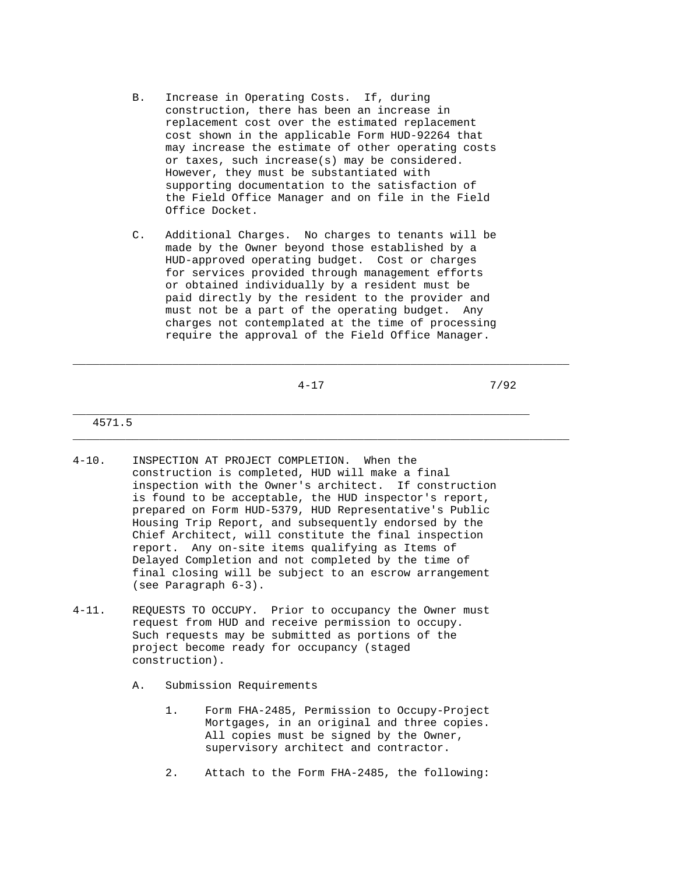- B. Increase in Operating Costs. If, during construction, there has been an increase in replacement cost over the estimated replacement cost shown in the applicable Form HUD-92264 that may increase the estimate of other operating costs or taxes, such increase(s) may be considered. However, they must be substantiated with supporting documentation to the satisfaction of the Field Office Manager and on file in the Field Office Docket.
- C. Additional Charges. No charges to tenants will be made by the Owner beyond those established by a HUD-approved operating budget. Cost or charges for services provided through management efforts or obtained individually by a resident must be paid directly by the resident to the provider and must not be a part of the operating budget. Any charges not contemplated at the time of processing require the approval of the Field Office Manager.

\_\_\_\_\_\_\_\_\_\_\_\_\_\_\_\_\_\_\_\_\_\_\_\_\_\_\_\_\_\_\_\_\_\_\_\_\_\_\_\_\_\_\_\_\_\_\_\_\_\_\_\_\_\_\_\_\_\_\_\_\_\_\_\_\_\_\_\_\_\_\_\_\_\_\_

\_\_\_\_\_\_\_\_\_\_\_\_\_\_\_\_\_\_\_\_\_\_\_\_\_\_\_\_\_\_\_\_\_\_\_\_\_\_\_\_\_\_\_\_\_\_\_\_\_\_\_\_\_\_\_\_\_\_\_\_\_\_\_\_\_\_\_\_\_\_\_\_\_\_\_

 $4-17$   $7/92$ 

## 4571.5

- 4-10. INSPECTION AT PROJECT COMPLETION. When the construction is completed, HUD will make a final inspection with the Owner's architect. If construction is found to be acceptable, the HUD inspector's report, prepared on Form HUD-5379, HUD Representative's Public Housing Trip Report, and subsequently endorsed by the Chief Architect, will constitute the final inspection report. Any on-site items qualifying as Items of Delayed Completion and not completed by the time of final closing will be subject to an escrow arrangement (see Paragraph 6-3).
- 4-11. REQUESTS TO OCCUPY. Prior to occupancy the Owner must request from HUD and receive permission to occupy. Such requests may be submitted as portions of the project become ready for occupancy (staged construction).
	- A. Submission Requirements
		- 1. Form FHA-2485, Permission to Occupy-Project Mortgages, in an original and three copies. All copies must be signed by the Owner, supervisory architect and contractor.
		- 2. Attach to the Form FHA-2485, the following: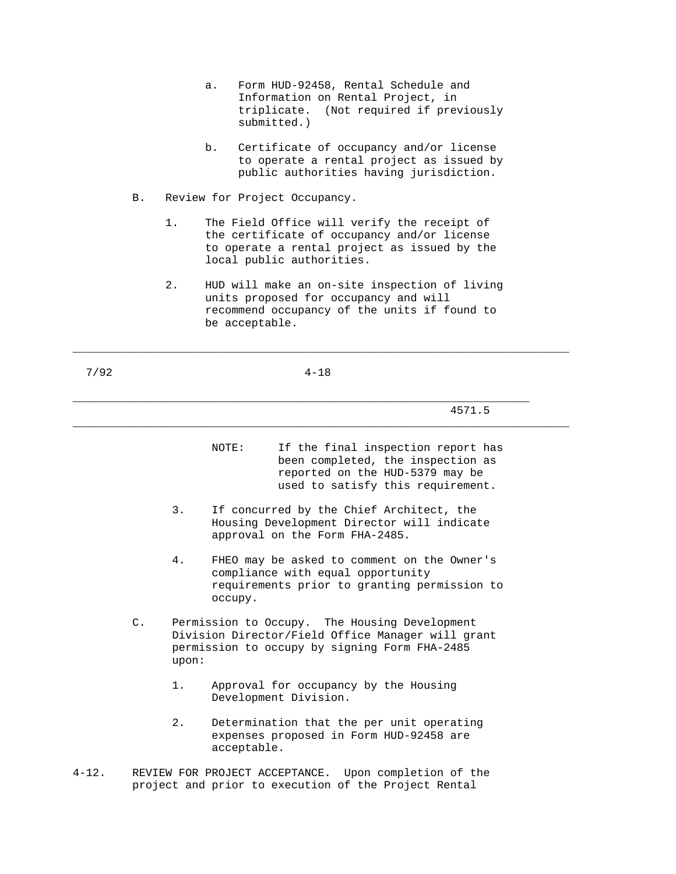- a. Form HUD-92458, Rental Schedule and Information on Rental Project, in triplicate. (Not required if previously submitted.)
- b. Certificate of occupancy and/or license to operate a rental project as issued by public authorities having jurisdiction.
- B. Review for Project Occupancy.
	- 1. The Field Office will verify the receipt of the certificate of occupancy and/or license to operate a rental project as issued by the local public authorities.
	- 2. HUD will make an on-site inspection of living units proposed for occupancy and will recommend occupancy of the units if found to be acceptable.

| × |  |  |  |  |
|---|--|--|--|--|
|---|--|--|--|--|

7/92 4-18

\_\_\_\_\_\_\_\_\_\_\_\_\_\_\_\_\_\_\_\_\_\_\_\_\_\_\_\_\_\_\_\_\_\_\_\_\_\_\_\_\_\_\_\_\_\_\_\_\_\_\_\_\_\_\_\_\_\_\_\_\_\_\_\_\_\_\_\_\_

\_\_\_\_\_\_\_\_\_\_\_\_\_\_\_\_\_\_\_\_\_\_\_\_\_\_\_\_\_\_\_\_\_\_\_\_\_\_\_\_\_\_\_\_\_\_\_\_\_\_\_\_\_\_\_\_\_\_\_\_\_\_\_\_\_\_\_\_\_\_\_\_\_\_\_

\_\_\_\_\_\_\_\_\_\_\_\_\_\_\_\_\_\_\_\_\_\_\_\_\_\_\_\_\_\_\_\_\_\_\_\_\_\_\_\_\_\_\_\_\_\_\_\_\_\_\_\_\_\_\_\_\_\_\_\_\_\_\_\_\_\_\_\_\_\_\_\_\_\_\_

4571.5

- NOTE: If the final inspection report has been completed, the inspection as reported on the HUD-5379 may be used to satisfy this requirement.
- 3. If concurred by the Chief Architect, the Housing Development Director will indicate approval on the Form FHA-2485.
- 4. FHEO may be asked to comment on the Owner's compliance with equal opportunity requirements prior to granting permission to occupy.
- C. Permission to Occupy. The Housing Development Division Director/Field Office Manager will grant permission to occupy by signing Form FHA-2485 upon:
	- 1. Approval for occupancy by the Housing Development Division.
	- 2. Determination that the per unit operating expenses proposed in Form HUD-92458 are acceptable.
- 4-12. REVIEW FOR PROJECT ACCEPTANCE. Upon completion of the project and prior to execution of the Project Rental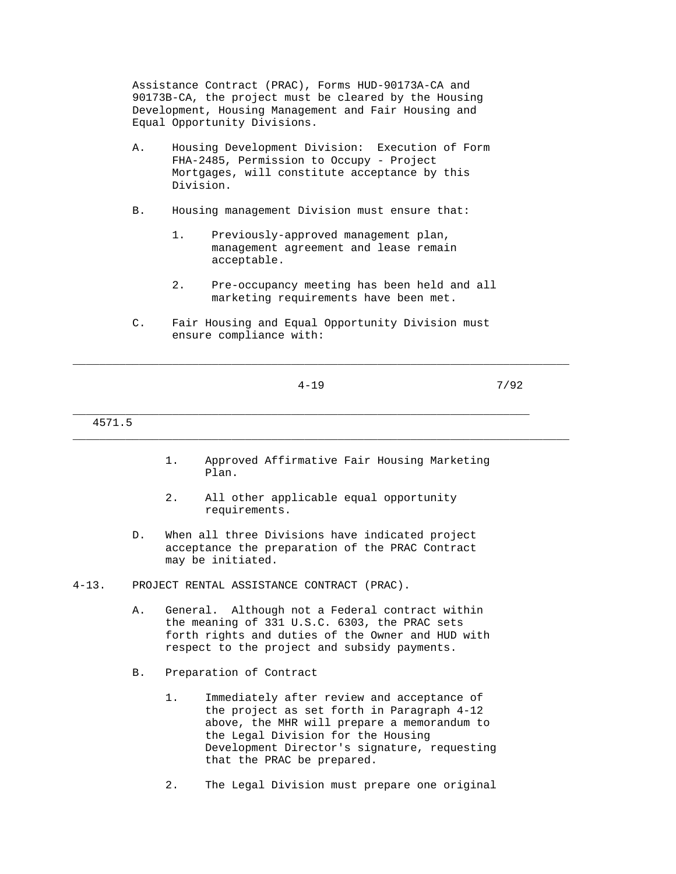Assistance Contract (PRAC), Forms HUD-90173A-CA and 90173B-CA, the project must be cleared by the Housing Development, Housing Management and Fair Housing and Equal Opportunity Divisions.

- A. Housing Development Division: Execution of Form FHA-2485, Permission to Occupy - Project Mortgages, will constitute acceptance by this Division.
- B. Housing management Division must ensure that:
	- 1. Previously-approved management plan, management agreement and lease remain acceptable.
	- 2. Pre-occupancy meeting has been held and all marketing requirements have been met.
- C. Fair Housing and Equal Opportunity Division must ensure compliance with:

\_\_\_\_\_\_\_\_\_\_\_\_\_\_\_\_\_\_\_\_\_\_\_\_\_\_\_\_\_\_\_\_\_\_\_\_\_\_\_\_\_\_\_\_\_\_\_\_\_\_\_\_\_\_\_\_\_\_\_\_\_\_\_\_\_\_\_\_\_

\_\_\_\_\_\_\_\_\_\_\_\_\_\_\_\_\_\_\_\_\_\_\_\_\_\_\_\_\_\_\_\_\_\_\_\_\_\_\_\_\_\_\_\_\_\_\_\_\_\_\_\_\_\_\_\_\_\_\_\_\_\_\_\_\_\_\_\_\_\_\_\_\_\_\_

4-19 7/92

## 4571.5

 1. Approved Affirmative Fair Housing Marketing Plan.

- 2. All other applicable equal opportunity requirements.
- D. When all three Divisions have indicated project acceptance the preparation of the PRAC Contract may be initiated.
- 4-13. PROJECT RENTAL ASSISTANCE CONTRACT (PRAC).
	- A. General. Although not a Federal contract within the meaning of 331 U.S.C. 6303, the PRAC sets forth rights and duties of the Owner and HUD with respect to the project and subsidy payments.
	- B. Preparation of Contract
		- 1. Immediately after review and acceptance of the project as set forth in Paragraph 4-12 above, the MHR will prepare a memorandum to the Legal Division for the Housing Development Director's signature, requesting that the PRAC be prepared.
		- 2. The Legal Division must prepare one original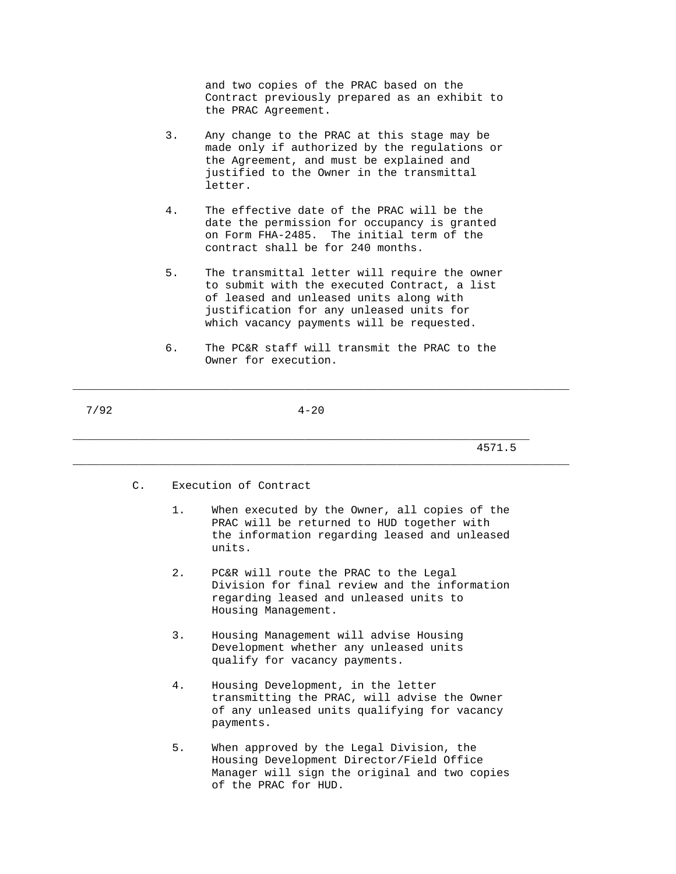and two copies of the PRAC based on the Contract previously prepared as an exhibit to the PRAC Agreement.

- 3. Any change to the PRAC at this stage may be made only if authorized by the regulations or the Agreement, and must be explained and justified to the Owner in the transmittal letter.
- 4. The effective date of the PRAC will be the date the permission for occupancy is granted on Form FHA-2485. The initial term of the contract shall be for 240 months.
- 5. The transmittal letter will require the owner to submit with the executed Contract, a list of leased and unleased units along with justification for any unleased units for which vacancy payments will be requested.
- 6. The PC&R staff will transmit the PRAC to the Owner for execution.

\_\_\_\_\_\_\_\_\_\_\_\_\_\_\_\_\_\_\_\_\_\_\_\_\_\_\_\_\_\_\_\_\_\_\_\_\_\_\_\_\_\_\_\_\_\_\_\_\_\_\_\_\_\_\_\_\_\_\_\_\_\_\_\_\_\_\_\_\_\_\_\_\_\_\_

\_\_\_\_\_\_\_\_\_\_\_\_\_\_\_\_\_\_\_\_\_\_\_\_\_\_\_\_\_\_\_\_\_\_\_\_\_\_\_\_\_\_\_\_\_\_\_\_\_\_\_\_\_\_\_\_\_\_\_\_\_\_\_\_\_\_\_\_\_\_\_\_\_\_\_

7/92 4-20

- C. Execution of Contract
	- 1. When executed by the Owner, all copies of the PRAC will be returned to HUD together with the information regarding leased and unleased units.
	- 2. PC&R will route the PRAC to the Legal Division for final review and the information regarding leased and unleased units to Housing Management.
	- 3. Housing Management will advise Housing Development whether any unleased units qualify for vacancy payments.
	- 4. Housing Development, in the letter transmitting the PRAC, will advise the Owner of any unleased units qualifying for vacancy payments.
	- 5. When approved by the Legal Division, the Housing Development Director/Field Office Manager will sign the original and two copies of the PRAC for HUD.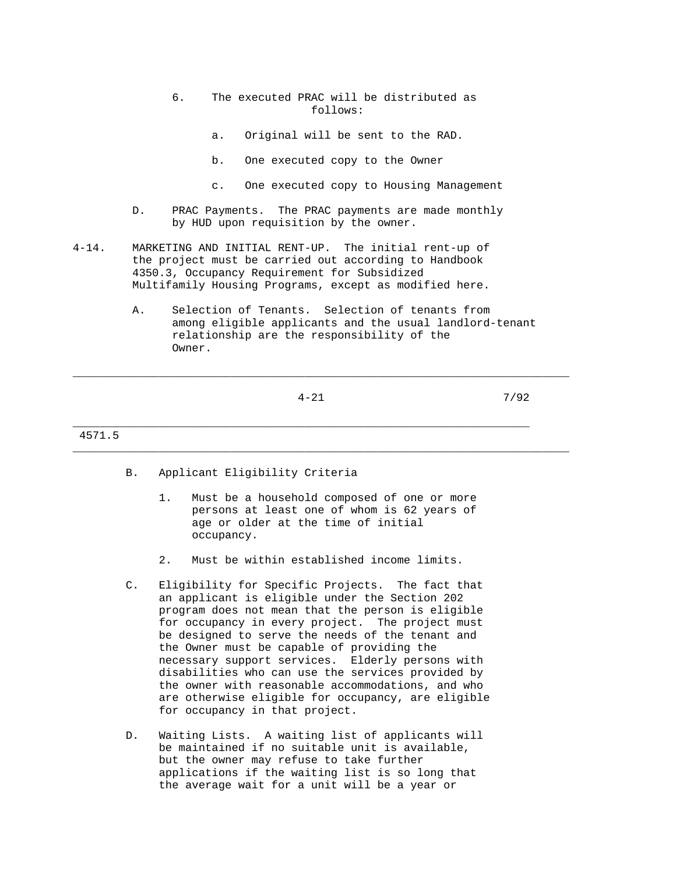- 6. The executed PRAC will be distributed as follows:
	- a. Original will be sent to the RAD.
	- b. One executed copy to the Owner
	- c. One executed copy to Housing Management
- D. PRAC Payments. The PRAC payments are made monthly by HUD upon requisition by the owner.
- 4-14. MARKETING AND INITIAL RENT-UP. The initial rent-up of the project must be carried out according to Handbook 4350.3, Occupancy Requirement for Subsidized Multifamily Housing Programs, except as modified here.
	- A. Selection of Tenants. Selection of tenants from among eligible applicants and the usual landlord-tenant relationship are the responsibility of the Owner.

\_\_\_\_\_\_\_\_\_\_\_\_\_\_\_\_\_\_\_\_\_\_\_\_\_\_\_\_\_\_\_\_\_\_\_\_\_\_\_\_\_\_\_\_\_\_\_\_\_\_\_\_\_\_\_\_\_\_\_\_\_\_\_\_\_\_\_\_\_\_\_\_\_\_\_

\_\_\_\_\_\_\_\_\_\_\_\_\_\_\_\_\_\_\_\_\_\_\_\_\_\_\_\_\_\_\_\_\_\_\_\_\_\_\_\_\_\_\_\_\_\_\_\_\_\_\_\_\_\_\_\_\_\_\_\_\_\_\_\_\_\_\_\_\_

4-21 7/92

4571.5

- B. Applicant Eligibility Criteria
	- 1. Must be a household composed of one or more persons at least one of whom is 62 years of age or older at the time of initial occupancy.
	- 2. Must be within established income limits.
- C. Eligibility for Specific Projects. The fact that an applicant is eligible under the Section 202 program does not mean that the person is eligible for occupancy in every project. The project must be designed to serve the needs of the tenant and the Owner must be capable of providing the necessary support services. Elderly persons with disabilities who can use the services provided by the owner with reasonable accommodations, and who are otherwise eligible for occupancy, are eligible for occupancy in that project.
- D. Waiting Lists. A waiting list of applicants will be maintained if no suitable unit is available, but the owner may refuse to take further applications if the waiting list is so long that the average wait for a unit will be a year or